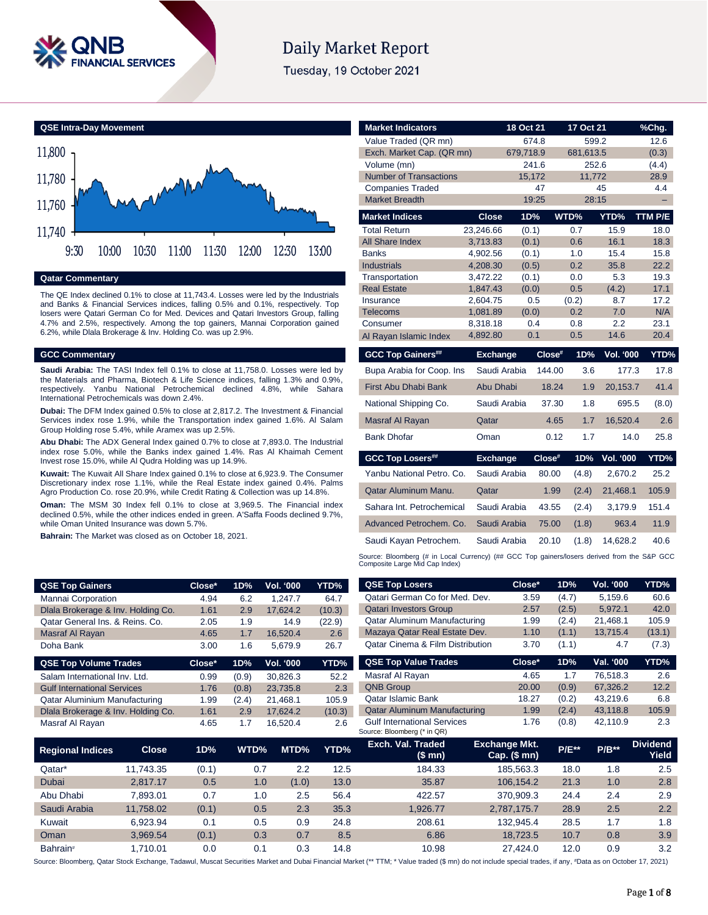

# **Daily Market Report**

Tuesday, 19 October 2021



#### **Qatar Commentary**

The QE Index declined 0.1% to close at 11,743.4. Losses were led by the Industrials and Banks & Financial Services indices, falling 0.5% and 0.1%, respectively. Top losers were Qatari German Co for Med. Devices and Qatari Investors Group, falling 4.7% and 2.5%, respectively. Among the top gainers, Mannai Corporation gained 6.2%, while Dlala Brokerage & Inv. Holding Co. was up 2.9%.

#### **GCC Commentary**

**Saudi Arabia:** The TASI Index fell 0.1% to close at 11,758.0. Losses were led by the Materials and Pharma, Biotech & Life Science indices, falling 1.3% and 0.9%, respectively. Yanbu National Petrochemical declined 4.8%, while Sahara International Petrochemicals was down 2.4%.

**Dubai:** The DFM Index gained 0.5% to close at 2,817.2. The Investment & Financial Services index rose 1.9%, while the Transportation index gained 1.6%. Al Salam Group Holding rose 5.4%, while Aramex was up 2.5%.

**Abu Dhabi:** The ADX General Index gained 0.7% to close at 7,893.0. The Industrial index rose 5.0%, while the Banks index gained 1.4%. Ras Al Khaimah Cement Invest rose 15.0%, while Al Qudra Holding was up 14.9%.

**Kuwait:** The Kuwait All Share Index gained 0.1% to close at 6,923.9. The Consumer Discretionary index rose 1.1%, while the Real Estate index gained 0.4%. Palms Agro Production Co. rose 20.9%, while Credit Rating & Collection was up 14.8%.

**Oman:** The MSM 30 Index fell 0.1% to close at 3,969.5. The Financial index declined 0.5%, while the other indices ended in green. A'Saffa Foods declined 9.7%, while Oman United Insurance was down 5.7%.

**Bahrain:** The Market was closed as on October 18, 2021.

| <b>Market Indicators</b>      |                      | 18 Oct 21    |        | 17 Oct 21    |                  | %Chg.       |
|-------------------------------|----------------------|--------------|--------|--------------|------------------|-------------|
| Value Traded (QR mn)          |                      | 674.8        |        | 599.2        |                  | 12.6        |
| Exch. Market Cap. (QR mn)     |                      | 679,718.9    |        | 681,613.5    |                  | (0.3)       |
| Volume (mn)                   |                      | 241.6        |        | 252.6        |                  | (4.4)       |
| <b>Number of Transactions</b> |                      | 15,172       |        | 11,772       |                  | 28.9        |
| <b>Companies Traded</b>       |                      |              | 47     |              | 45               | 4.4         |
| <b>Market Breadth</b>         |                      | 19:25        |        | 28:15        |                  |             |
| <b>Market Indices</b>         | <b>Close</b>         | 1D%          |        | WTD%         | YTD%             | TTM P/E     |
| <b>Total Return</b>           | 23,246.66            | (0.1)        |        | 0.7          | 15.9             | 18.0        |
| All Share Index               | 3,713.83             | (0.1)        |        | 0.6          | 16.1             | 18.3        |
| <b>Banks</b>                  | 4,902.56             | (0.1)        |        | 1.0          | 15.4             | 15.8        |
| <b>Industrials</b>            | 4,208.30             | (0.5)        |        | 0.2          | 35.8             | 22.2        |
| Transportation                | 3,472.22             | (0.1)        |        | 0.0          | 5.3              | 19.3        |
| <b>Real Estate</b>            | 1,847.43             | (0.0)        |        | 0.5          | (4.2)            | 17.1        |
| Insurance                     | 2,604.75             | 0.5          |        | (0.2)<br>0.2 | 8.7              | 17.2<br>N/A |
| <b>Telecoms</b><br>Consumer   | 1,081.89<br>8,318.18 | (0.0)<br>0.4 |        | 0.8          | 7.0<br>2.2       | 23.1        |
| Al Rayan Islamic Index        | 4,892.80             | 0.1          |        | 0.5          | 14.6             | 20.4        |
|                               |                      |              |        |              |                  |             |
| <b>GCC Top Gainers##</b>      | <b>Exchange</b>      |              | Close# | 1D%          | <b>Vol. '000</b> | YTD%        |
| Bupa Arabia for Coop. Ins     | Saudi Arabia         |              | 144.00 | 3.6          | 177.3            | 17.8        |
| First Abu Dhabi Bank          | Abu Dhabi            |              | 18.24  | 1.9          | 20,153.7         | 41.4        |
| National Shipping Co.         | Saudi Arabia         |              | 37.30  | 1.8          | 695.5            | (8.0)       |
| <b>Masraf Al Rayan</b>        | Qatar                |              | 4.65   | 1.7          | 16,520.4         | 2.6         |
| <b>Bank Dhofar</b>            | Oman                 |              | 0.12   | 1.7          | 14.0             | 25.8        |
| <b>GCC Top Losers##</b>       | <b>Exchange</b>      |              | Close# | 1D%          | Vol. '000        | YTD%        |
| Yanbu National Petro, Co.     | Saudi Arabia         |              | 80.00  | (4.8)        | 2,670.2          | 25.2        |
| Qatar Aluminum Manu.          | Qatar                |              | 1.99   | (2.4)        | 21,468.1         | 105.9       |
| Sahara Int. Petrochemical     | Saudi Arabia         |              | 43.55  | (2.4)        | 3,179.9          | 151.4       |
| Advanced Petrochem. Co.       | Saudi Arabia         |              | 75.00  | (1.8)        | 963.4            | 11.9        |
|                               |                      |              |        |              |                  |             |
| Saudi Kayan Petrochem.        | Saudi Arabia         |              | 20.10  | (1.8)        | 14,628.2         | 40.6        |

Source: Bloomberg (# in Local Currency) (## GCC Top gainers/losers derived from the S&P GCC Composite Large Mid Cap Index)

| <b>QSE Top Gainers</b>             | Close* | 1D%   | Vol. '000        | YTD%   | <b>QSE Top Losers</b>                       | Close* | 1D%   | <b>Vol. '000</b> | YTD%   |
|------------------------------------|--------|-------|------------------|--------|---------------------------------------------|--------|-------|------------------|--------|
| Mannai Corporation                 | 4.94   | 6.2   | 1.247.7          | 64.7   | Qatari German Co for Med. Dev.              | 3.59   | (4.7) | 5.159.6          | 60.6   |
| Diala Brokerage & Inv. Holding Co. | 1.61   | 2.9   | 17.624.2         | (10.3) | <b>Qatari Investors Group</b>               | 2.57   | (2.5) | 5.972.1          | 42.0   |
| Qatar General Ins. & Reins. Co.    | 2.05   | 1.9   | 14.9             | (22.9) | Qatar Aluminum Manufacturing                | 1.99   | (2.4) | 21.468.1         | 105.9  |
| Masraf Al Rayan                    | 4.65   | 1.7   | 16.520.4         | 2.6    | Mazaya Qatar Real Estate Dev.               | 1.10   | (1.1) | 13.715.4         | (13.1) |
| Doha Bank                          | 3.00   | 1.6   | 5,679.9          | 26.7   | <b>Qatar Cinema &amp; Film Distribution</b> | 3.70   | (1.1) | 4.7              | (7.3)  |
|                                    |        |       |                  |        |                                             |        |       |                  |        |
| <b>QSE Top Volume Trades</b>       | Close* | 1D%   | <b>Vol. '000</b> | YTD%   | <b>QSE Top Value Trades</b>                 | Close* | 1D%   | Val. '000        | YTD%   |
| Salam International Inv. Ltd.      | 0.99   | (0.9) | 30.826.3         | 52.2   | Masraf Al Rayan                             | 4.65   | 1.7   | 76.518.3         | 2.6    |
| <b>Gulf International Services</b> | 1.76   | (0.8) | 23,735.8         | 2.3    | <b>QNB Group</b>                            | 20.00  | (0.9) | 67.326.2         | 12.2   |
| Qatar Aluminium Manufacturing      | 1.99   | (2.4) | 21,468.1         | 105.9  | <b>Qatar Islamic Bank</b>                   | 18.27  | (0.2) | 43.219.6         | 6.8    |
| Dlala Brokerage & Inv. Holding Co. | 1.61   | 2.9   | 17.624.2         | (10.3) | <b>Qatar Aluminum Manufacturing</b>         | 1.99   | (2.4) | 43,118.8         | 105.9  |

| Salam International Inv. Ltd.      |              | 0.99  | (0.9) | 30.826.3 | 52.2   | Masraf Al Rayan                                                   | 4.65                                     | 1.7     | 76,518.3 | 2.6                             |
|------------------------------------|--------------|-------|-------|----------|--------|-------------------------------------------------------------------|------------------------------------------|---------|----------|---------------------------------|
| <b>Gulf International Services</b> |              | 1.76  | (0.8) | 23,735.8 | 2.3    | <b>QNB Group</b>                                                  | 20.00                                    | (0.9)   | 67.326.2 | 12.2                            |
| Qatar Aluminium Manufacturing      |              | 1.99  | (2.4) | 21.468.1 | 105.9  | <b>Qatar Islamic Bank</b>                                         | 18.27                                    | (0.2)   | 43,219.6 | 6.8                             |
| Dlala Brokerage & Inv. Holding Co. |              | 1.61  | 2.9   | 17.624.2 | (10.3) | <b>Qatar Aluminum Manufacturing</b>                               | 1.99                                     | (2.4)   | 43,118.8 | 105.9                           |
| Masraf Al Rayan                    |              | 4.65  | 1.7   | 16,520.4 | 2.6    | <b>Gulf International Services</b><br>Source: Bloomberg (* in QR) | 1.76                                     | (0.8)   | 42,110.9 | 2.3                             |
| <b>Regional Indices</b>            | <b>Close</b> | 1D%   | WTD%  | MTD%     | YTD%   | Exch. Val. Traded<br>(\$ mn)                                      | <b>Exchange Mkt.</b><br>Cap. $($$ mn $)$ | $P/E**$ | $P/B**$  | <b>Dividend</b><br><b>Yield</b> |
| Qatar*                             | 11.743.35    | (0.1) | 0.7   | 2.2      | 12.5   | 184.33                                                            | 185.563.3                                | 18.0    | 1.8      | 2.5                             |
| <b>Dubai</b>                       | 2.817.17     | 0.5   | 1.0   | (1.0)    | 13.0   | 35.87                                                             | 106,154.2                                | 21.3    | 1.0      | 2.8                             |
| Abu Dhabi                          | 7.893.01     | 0.7   | 1.0   | 2.5      | 56.4   | 422.57                                                            | 370.909.3                                | 24.4    | 2.4      | 2.9                             |
| Saudi Arabia                       | 11.758.02    | (0.1) | 0.5   | 2.3      | 35.3   | 1.926.77                                                          | 2.787.175.7                              | 28.9    | 2.5      | 2.2                             |
| Kuwait                             | 6.923.94     | 0.1   | 0.5   | 0.9      | 24.8   | 208.61                                                            | 132.945.4                                | 28.5    | 1.7      | 1.8                             |
| Oman                               | 3.969.54     | (0.1) | 0.3   | 0.7      | 8.5    | 6.86                                                              | 18.723.5                                 | 10.7    | 0.8      | 3.9                             |
| Bahrain <sup>#</sup>               | 1.710.01     | 0.0   | 0.1   | 0.3      | 14.8   | 10.98                                                             | 27.424.0                                 | 12.0    | 0.9      | 3.2                             |

Source: Bloomberg, Qatar Stock Exchange, Tadawul, Muscat Securities Market and Dubai Financial Market (\*\* TTM; \* Value traded (\$ mn) do not include special trades, if any, #Data as on October 17, 2021)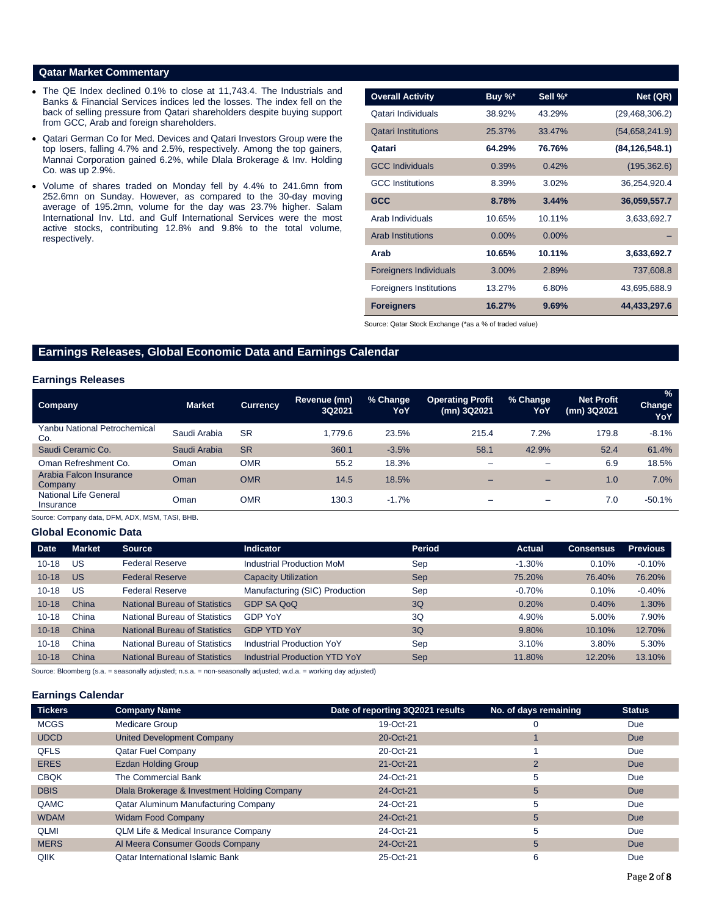#### **Qatar Market Commentary**

- The QE Index declined 0.1% to close at 11,743.4. The Industrials and Banks & Financial Services indices led the losses. The index fell on the back of selling pressure from Qatari shareholders despite buying support from GCC, Arab and foreign shareholders.
- Qatari German Co for Med. Devices and Qatari Investors Group were the top losers, falling 4.7% and 2.5%, respectively. Among the top gainers, Mannai Corporation gained 6.2%, while Dlala Brokerage & Inv. Holding Co. was up 2.9%.
- Volume of shares traded on Monday fell by 4.4% to 241.6mn from 252.6mn on Sunday. However, as compared to the 30-day moving average of 195.2mn, volume for the day was 23.7% higher. Salam International Inv. Ltd. and Gulf International Services were the most active stocks, contributing 12.8% and 9.8% to the total volume, respectively.

| <b>Overall Activity</b>        | Buy %*   | Sell %*  | Net (QR)         |
|--------------------------------|----------|----------|------------------|
| Qatari Individuals             | 38.92%   | 43.29%   | (29, 468, 306.2) |
| <b>Qatari Institutions</b>     | 25.37%   | 33.47%   | (54,658,241.9)   |
| Qatari                         | 64.29%   | 76.76%   | (84, 126, 548.1) |
| <b>GCC Individuals</b>         | 0.39%    | 0.42%    | (195, 362.6)     |
| <b>GCC</b> Institutions        | 8.39%    | 3.02%    | 36,254,920.4     |
| <b>GCC</b>                     | 8.78%    | 3.44%    | 36,059,557.7     |
| Arab Individuals               | 10.65%   | 10.11%   | 3,633,692.7      |
| <b>Arab Institutions</b>       | $0.00\%$ | $0.00\%$ |                  |
| Arab                           | 10.65%   | 10.11%   | 3,633,692.7      |
| <b>Foreigners Individuals</b>  | 3.00%    | 2.89%    | 737,608.8        |
| <b>Foreigners Institutions</b> | 13.27%   | 6.80%    | 43,695,688.9     |
| <b>Foreigners</b>              | 16.27%   | 9.69%    | 44,433,297.6     |

Source: Qatar Stock Exchange (\*as a % of traded value)

## **Earnings Releases, Global Economic Data and Earnings Calendar**

#### **Earnings Releases**

| Company                             | <b>Market</b> | <b>Currency</b> | Revenue (mn)<br>3Q2021 | % Change<br>YoY | <b>Operating Profit</b><br>(mn) 3Q2021 | % Change<br>YoY          | <b>Net Profit</b><br>(mn) 3Q2021 | $\frac{1}{2}$<br>Change<br>YoY |
|-------------------------------------|---------------|-----------------|------------------------|-----------------|----------------------------------------|--------------------------|----------------------------------|--------------------------------|
| Yanbu National Petrochemical<br>Co. | Saudi Arabia  | <b>SR</b>       | 1.779.6                | 23.5%           | 215.4                                  | 7.2%                     | 179.8                            | $-8.1%$                        |
| Saudi Ceramic Co.                   | Saudi Arabia  | <b>SR</b>       | 360.1                  | $-3.5%$         | 58.1                                   | 42.9%                    | 52.4                             | 61.4%                          |
| Oman Refreshment Co.                | Oman          | <b>OMR</b>      | 55.2                   | 18.3%           | -                                      | $\overline{\phantom{a}}$ | 6.9                              | 18.5%                          |
| Arabia Falcon Insurance<br>Company  | Oman          | <b>OMR</b>      | 14.5                   | 18.5%           | -                                      | $\overline{\phantom{0}}$ | 1.0                              | 7.0%                           |
| National Life General<br>Insurance  | Oman          | OMR             | 130.3                  | $-1.7%$         |                                        | -                        | 7.0                              | $-50.1%$                       |

Source: Company data, DFM, ADX, MSM, TASI, BHB.

#### **Global Economic Data**

| <b>Date</b> | <b>Market</b> | <b>Source</b>                        | <b>Indicator</b>                     | Period     | Actual   | 'Consensus. | <b>Previous</b> |
|-------------|---------------|--------------------------------------|--------------------------------------|------------|----------|-------------|-----------------|
| $10 - 18$   | US            | <b>Federal Reserve</b>               | Industrial Production MoM            | Sep        | $-1.30%$ | 0.10%       | $-0.10%$        |
| $10 - 18$   | US            | <b>Federal Reserve</b>               | <b>Capacity Utilization</b>          | <b>Sep</b> | 75.20%   | 76.40%      | 76.20%          |
| $10 - 18$   | US            | <b>Federal Reserve</b>               | Manufacturing (SIC) Production       | Sep        | $-0.70%$ | 0.10%       | $-0.40%$        |
| $10 - 18$   | China         | National Bureau of Statistics        | GDP SA QoQ                           | 3Q         | 0.20%    | 0.40%       | 1.30%           |
| $10 - 18$   | China         | National Bureau of Statistics        | <b>GDP YoY</b>                       | 3Q         | 4.90%    | 5.00%       | 7.90%           |
| $10 - 18$   | China         | National Bureau of Statistics        | <b>GDP YTD YoY</b>                   | 3Q         | 9.80%    | 10.10%      | 12.70%          |
| $10 - 18$   | China         | National Bureau of Statistics        | Industrial Production YoY            | Sep        | 3.10%    | 3.80%       | 5.30%           |
| $10 - 18$   | China         | <b>National Bureau of Statistics</b> | <b>Industrial Production YTD YoY</b> | <b>Sep</b> | 11.80%   | 12.20%      | 13.10%          |

Source: Bloomberg (s.a. = seasonally adjusted; n.s.a. = non-seasonally adjusted; w.d.a. = working day adjusted)

#### **Earnings Calendar**

| <b>Tickers</b> | <b>Company Name</b>                          | Date of reporting 3Q2021 results | No. of days remaining | <b>Status</b> |
|----------------|----------------------------------------------|----------------------------------|-----------------------|---------------|
| <b>MCGS</b>    | Medicare Group                               | 19-Oct-21                        | 0                     | Due           |
| <b>UDCD</b>    | <b>United Development Company</b>            | 20-Oct-21                        |                       | <b>Due</b>    |
| <b>QFLS</b>    | <b>Qatar Fuel Company</b>                    | 20-Oct-21                        |                       | Due           |
| <b>ERES</b>    | <b>Ezdan Holding Group</b>                   | 21-Oct-21                        | $\overline{2}$        | <b>Due</b>    |
| <b>CBQK</b>    | The Commercial Bank                          | 24-Oct-21                        | 5                     | Due           |
| <b>DBIS</b>    | Dlala Brokerage & Investment Holding Company | 24-Oct-21                        | 5                     | <b>Due</b>    |
| QAMC           | Qatar Aluminum Manufacturing Company         | 24-Oct-21                        | 5                     | Due           |
| <b>WDAM</b>    | <b>Widam Food Company</b>                    | 24-Oct-21                        | 5                     | <b>Due</b>    |
| <b>QLMI</b>    | QLM Life & Medical Insurance Company         | 24-Oct-21                        | 5                     | Due           |
| <b>MERS</b>    | Al Meera Consumer Goods Company              | 24-Oct-21                        | 5                     | <b>Due</b>    |
| QIIK           | <b>Qatar International Islamic Bank</b>      | 25-Oct-21                        | 6                     | Due           |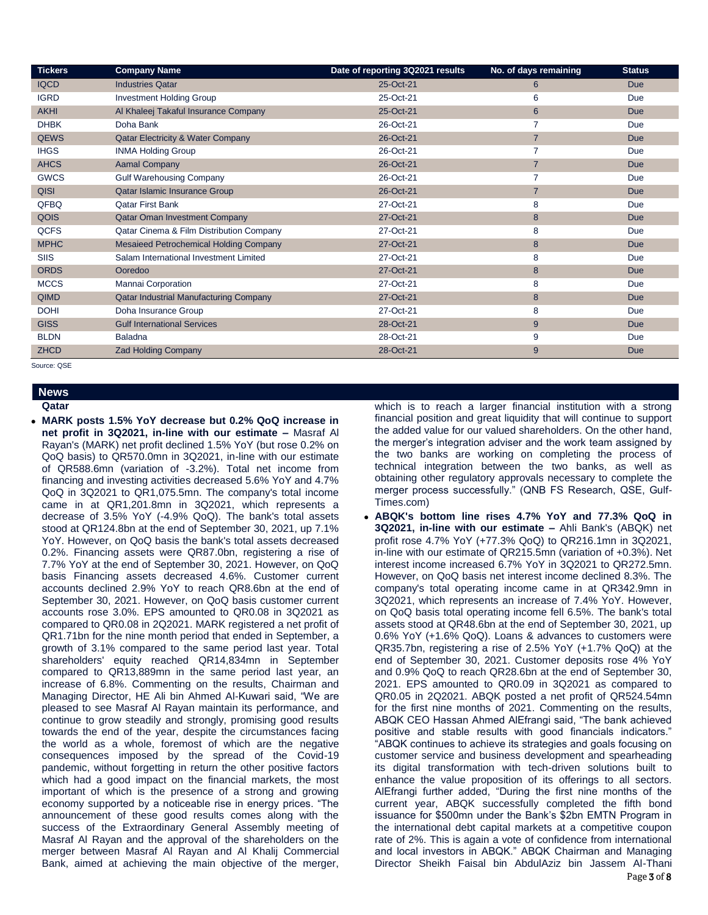| <b>Tickers</b> | <b>Company Name</b>                           | Date of reporting 3Q2021 results | No. of days remaining | <b>Status</b> |
|----------------|-----------------------------------------------|----------------------------------|-----------------------|---------------|
| <b>IQCD</b>    | <b>Industries Qatar</b>                       | 25-Oct-21                        | 6                     | Due           |
| <b>IGRD</b>    | <b>Investment Holding Group</b>               | 25-Oct-21                        | 6                     | Due           |
| <b>AKHI</b>    | Al Khaleej Takaful Insurance Company          | 25-Oct-21                        | 6                     | <b>Due</b>    |
| <b>DHBK</b>    | Doha Bank                                     | 26-Oct-21                        | $\overline{7}$        | Due           |
| <b>QEWS</b>    | <b>Qatar Electricity &amp; Water Company</b>  | 26-Oct-21                        | $\overline{7}$        | <b>Due</b>    |
| <b>IHGS</b>    | <b>INMA Holding Group</b>                     | 26-Oct-21                        | $\overline{7}$        | Due           |
| <b>AHCS</b>    | <b>Aamal Company</b>                          | 26-Oct-21                        | $\overline{7}$        | <b>Due</b>    |
| <b>GWCS</b>    | <b>Gulf Warehousing Company</b>               | 26-Oct-21                        | $\overline{7}$        | Due           |
| <b>QISI</b>    | Qatar Islamic Insurance Group                 | 26-Oct-21                        | $\overline{7}$        | <b>Due</b>    |
| QFBQ           | <b>Qatar First Bank</b>                       | 27-Oct-21                        | 8                     | Due           |
| <b>QOIS</b>    | <b>Qatar Oman Investment Company</b>          | 27-Oct-21                        | 8                     | <b>Due</b>    |
| <b>QCFS</b>    | Qatar Cinema & Film Distribution Company      | 27-Oct-21                        | 8                     | Due           |
| <b>MPHC</b>    | <b>Mesaieed Petrochemical Holding Company</b> | 27-Oct-21                        | 8                     | <b>Due</b>    |
| SIIS           | Salam International Investment Limited        | 27-Oct-21                        | 8                     | Due           |
| <b>ORDS</b>    | Ooredoo                                       | 27-Oct-21                        | 8                     | <b>Due</b>    |
| <b>MCCS</b>    | Mannai Corporation                            | 27-Oct-21                        | 8                     | Due           |
| <b>QIMD</b>    | <b>Qatar Industrial Manufacturing Company</b> | 27-Oct-21                        | 8                     | <b>Due</b>    |
| <b>DOHI</b>    | Doha Insurance Group                          | 27-Oct-21                        | 8                     | Due           |
| <b>GISS</b>    | <b>Gulf International Services</b>            | 28-Oct-21                        | 9                     | <b>Due</b>    |
| <b>BLDN</b>    | <b>Baladna</b>                                | 28-Oct-21                        | 9                     | Due           |
| <b>ZHCD</b>    | <b>Zad Holding Company</b>                    | 28-Oct-21                        | 9                     | <b>Due</b>    |

Source: QSE

#### **News Qatar**

 **MARK posts 1.5% YoY decrease but 0.2% QoQ increase in net profit in 3Q2021, in-line with our estimate –** Masraf Al Rayan's (MARK) net profit declined 1.5% YoY (but rose 0.2% on QoQ basis) to QR570.0mn in 3Q2021, in-line with our estimate of QR588.6mn (variation of -3.2%). Total net income from financing and investing activities decreased 5.6% YoY and 4.7% QoQ in 3Q2021 to QR1,075.5mn. The company's total income came in at QR1,201.8mn in 3Q2021, which represents a decrease of 3.5% YoY (-4.9% QoQ). The bank's total assets stood at QR124.8bn at the end of September 30, 2021, up 7.1% YoY. However, on QoQ basis the bank's total assets decreased 0.2%. Financing assets were QR87.0bn, registering a rise of 7.7% YoY at the end of September 30, 2021. However, on QoQ basis Financing assets decreased 4.6%. Customer current accounts declined 2.9% YoY to reach QR8.6bn at the end of September 30, 2021. However, on QoQ basis customer current accounts rose 3.0%. EPS amounted to QR0.08 in 3Q2021 as compared to QR0.08 in 2Q2021. MARK registered a net profit of QR1.71bn for the nine month period that ended in September, a growth of 3.1% compared to the same period last year. Total shareholders' equity reached QR14,834mn in September compared to QR13,889mn in the same period last year, an increase of 6.8%. Commenting on the results, Chairman and Managing Director, HE Ali bin Ahmed Al-Kuwari said, "We are pleased to see Masraf Al Rayan maintain its performance, and continue to grow steadily and strongly, promising good results towards the end of the year, despite the circumstances facing the world as a whole, foremost of which are the negative consequences imposed by the spread of the Covid-19 pandemic, without forgetting in return the other positive factors which had a good impact on the financial markets, the most important of which is the presence of a strong and growing economy supported by a noticeable rise in energy prices. "The announcement of these good results comes along with the success of the Extraordinary General Assembly meeting of Masraf Al Rayan and the approval of the shareholders on the merger between Masraf Al Rayan and Al Khalij Commercial Bank, aimed at achieving the main objective of the merger,

which is to reach a larger financial institution with a strong financial position and great liquidity that will continue to support the added value for our valued shareholders. On the other hand, the merger's integration adviser and the work team assigned by the two banks are working on completing the process of technical integration between the two banks, as well as obtaining other regulatory approvals necessary to complete the merger process successfully." (QNB FS Research, QSE, Gulf-Times.com)

 **ABQK's bottom line rises 4.7% YoY and 77.3% QoQ in 3Q2021, in-line with our estimate –** Ahli Bank's (ABQK) net profit rose 4.7% YoY (+77.3% QoQ) to QR216.1mn in 3Q2021, in-line with our estimate of QR215.5mn (variation of +0.3%). Net interest income increased 6.7% YoY in 3Q2021 to QR272.5mn. However, on QoQ basis net interest income declined 8.3%. The company's total operating income came in at QR342.9mn in 3Q2021, which represents an increase of 7.4% YoY. However, on QoQ basis total operating income fell 6.5%. The bank's total assets stood at QR48.6bn at the end of September 30, 2021, up 0.6% YoY (+1.6% QoQ). Loans & advances to customers were QR35.7bn, registering a rise of 2.5% YoY (+1.7% QoQ) at the end of September 30, 2021. Customer deposits rose 4% YoY and 0.9% QoQ to reach QR28.6bn at the end of September 30, 2021. EPS amounted to QR0.09 in 3Q2021 as compared to QR0.05 in 2Q2021. ABQK posted a net profit of QR524.54mn for the first nine months of 2021. Commenting on the results, ABQK CEO Hassan Ahmed AlEfrangi said, "The bank achieved positive and stable results with good financials indicators." "ABQK continues to achieve its strategies and goals focusing on customer service and business development and spearheading its digital transformation with tech-driven solutions built to enhance the value proposition of its offerings to all sectors. AlEfrangi further added, "During the first nine months of the current year, ABQK successfully completed the fifth bond issuance for \$500mn under the Bank's \$2bn EMTN Program in the international debt capital markets at a competitive coupon rate of 2%. This is again a vote of confidence from international and local investors in ABQK." ABQK Chairman and Managing Director Sheikh Faisal bin AbdulAziz bin Jassem Al-Thani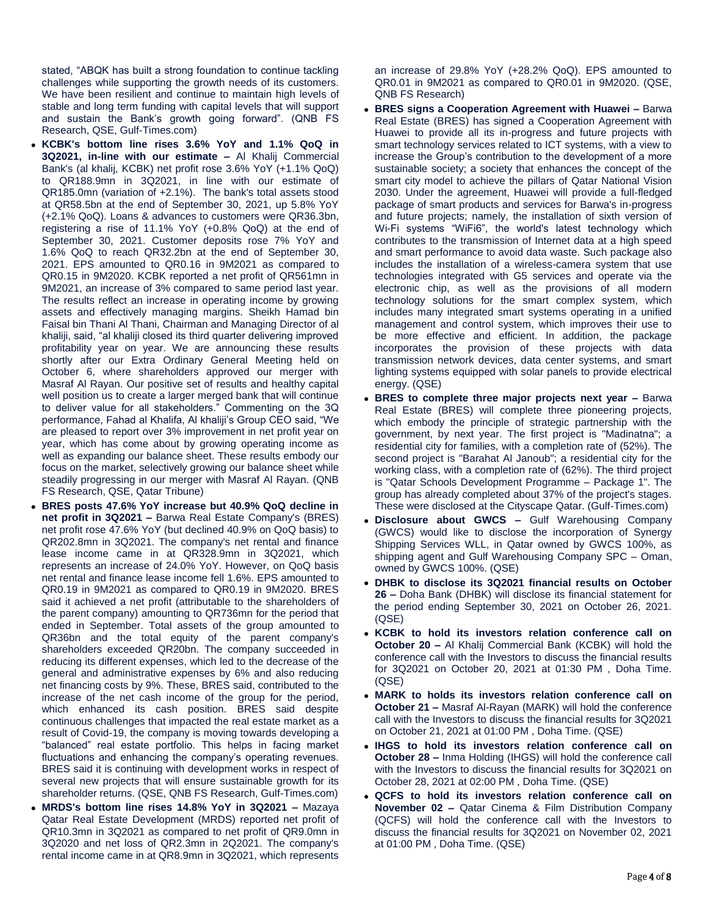stated, "ABQK has built a strong foundation to continue tackling challenges while supporting the growth needs of its customers. We have been resilient and continue to maintain high levels of stable and long term funding with capital levels that will support and sustain the Bank's growth going forward". (QNB FS Research, QSE, Gulf-Times.com)

- **KCBK's bottom line rises 3.6% YoY and 1.1% QoQ in 3Q2021, in-line with our estimate –** Al Khalij Commercial Bank's (al khalij, KCBK) net profit rose 3.6% YoY (+1.1% QoQ) to QR188.9mn in 3Q2021, in line with our estimate of QR185.0mn (variation of +2.1%). The bank's total assets stood at QR58.5bn at the end of September 30, 2021, up 5.8% YoY (+2.1% QoQ). Loans & advances to customers were QR36.3bn, registering a rise of 11.1% YoY (+0.8% QoQ) at the end of September 30, 2021. Customer deposits rose 7% YoY and 1.6% QoQ to reach QR32.2bn at the end of September 30, 2021. EPS amounted to QR0.16 in 9M2021 as compared to QR0.15 in 9M2020. KCBK reported a net profit of QR561mn in 9M2021, an increase of 3% compared to same period last year. The results reflect an increase in operating income by growing assets and effectively managing margins. Sheikh Hamad bin Faisal bin Thani Al Thani, Chairman and Managing Director of al khaliji, said, "al khaliji closed its third quarter delivering improved profitability year on year. We are announcing these results shortly after our Extra Ordinary General Meeting held on October 6, where shareholders approved our merger with Masraf Al Rayan. Our positive set of results and healthy capital well position us to create a larger merged bank that will continue to deliver value for all stakeholders." Commenting on the 3Q performance, Fahad al Khalifa, Al khaliji's Group CEO said, "We are pleased to report over 3% improvement in net profit year on year, which has come about by growing operating income as well as expanding our balance sheet. These results embody our focus on the market, selectively growing our balance sheet while steadily progressing in our merger with Masraf Al Rayan. (QNB FS Research, QSE, Qatar Tribune)
- **BRES posts 47.6% YoY increase but 40.9% QoQ decline in net profit in 3Q2021 –** Barwa Real Estate Company's (BRES) net profit rose 47.6% YoY (but declined 40.9% on QoQ basis) to QR202.8mn in 3Q2021. The company's net rental and finance lease income came in at QR328.9mn in 3Q2021, which represents an increase of 24.0% YoY. However, on QoQ basis net rental and finance lease income fell 1.6%. EPS amounted to QR0.19 in 9M2021 as compared to QR0.19 in 9M2020. BRES said it achieved a net profit (attributable to the shareholders of the parent company) amounting to QR736mn for the period that ended in September. Total assets of the group amounted to QR36bn and the total equity of the parent company's shareholders exceeded QR20bn. The company succeeded in reducing its different expenses, which led to the decrease of the general and administrative expenses by 6% and also reducing net financing costs by 9%. These, BRES said, contributed to the increase of the net cash income of the group for the period, which enhanced its cash position. BRES said despite continuous challenges that impacted the real estate market as a result of Covid-19, the company is moving towards developing a "balanced" real estate portfolio. This helps in facing market fluctuations and enhancing the company's operating revenues. BRES said it is continuing with development works in respect of several new projects that will ensure sustainable growth for its shareholder returns. (QSE, QNB FS Research, Gulf-Times.com)
- **MRDS's bottom line rises 14.8% YoY in 3Q2021 –** Mazaya Qatar Real Estate Development (MRDS) reported net profit of QR10.3mn in 3Q2021 as compared to net profit of QR9.0mn in 3Q2020 and net loss of QR2.3mn in 2Q2021. The company's rental income came in at QR8.9mn in 3Q2021, which represents

an increase of 29.8% YoY (+28.2% QoQ). EPS amounted to QR0.01 in 9M2021 as compared to QR0.01 in 9M2020. (QSE, QNB FS Research)

- **BRES signs a Cooperation Agreement with Huawei –** Barwa Real Estate (BRES) has signed a Cooperation Agreement with Huawei to provide all its in-progress and future projects with smart technology services related to ICT systems, with a view to increase the Group's contribution to the development of a more sustainable society; a society that enhances the concept of the smart city model to achieve the pillars of Qatar National Vision 2030. Under the agreement, Huawei will provide a full-fledged package of smart products and services for Barwa's in-progress and future projects; namely, the installation of sixth version of Wi-Fi systems "WiFi6", the world's latest technology which contributes to the transmission of Internet data at a high speed and smart performance to avoid data waste. Such package also includes the installation of a wireless-camera system that use technologies integrated with G5 services and operate via the electronic chip, as well as the provisions of all modern technology solutions for the smart complex system, which includes many integrated smart systems operating in a unified management and control system, which improves their use to be more effective and efficient. In addition, the package incorporates the provision of these projects with data transmission network devices, data center systems, and smart lighting systems equipped with solar panels to provide electrical energy. (QSE)
- **BRES to complete three major projects next year –** Barwa Real Estate (BRES) will complete three pioneering projects, which embody the principle of strategic partnership with the government, by next year. The first project is "Madinatna"; a residential city for families, with a completion rate of (52%). The second project is "Barahat Al Janoub"; a residential city for the working class, with a completion rate of (62%). The third project is "Qatar Schools Development Programme – Package 1". The group has already completed about 37% of the project's stages. These were disclosed at the Cityscape Qatar. (Gulf-Times.com)
- **Disclosure about GWCS –** Gulf Warehousing Company (GWCS) would like to disclose the incorporation of Synergy Shipping Services WLL, in Qatar owned by GWCS 100%, as shipping agent and Gulf Warehousing Company SPC – Oman, owned by GWCS 100%. (QSE)
- **DHBK to disclose its 3Q2021 financial results on October 26 –** Doha Bank (DHBK) will disclose its financial statement for the period ending September 30, 2021 on October 26, 2021. (QSE)
- **KCBK to hold its investors relation conference call on October 20 –** Al Khalij Commercial Bank (KCBK) will hold the conference call with the Investors to discuss the financial results for 3Q2021 on October 20, 2021 at 01:30 PM , Doha Time. (QSE)
- **MARK to holds its investors relation conference call on October 21 –** Masraf Al-Rayan (MARK) will hold the conference call with the Investors to discuss the financial results for 3Q2021 on October 21, 2021 at 01:00 PM , Doha Time. (QSE)
- **IHGS to hold its investors relation conference call on October 28 –** Inma Holding (IHGS) will hold the conference call with the Investors to discuss the financial results for 3Q2021 on October 28, 2021 at 02:00 PM , Doha Time. (QSE)
- **QCFS to hold its investors relation conference call on November 02 –** Qatar Cinema & Film Distribution Company (QCFS) will hold the conference call with the Investors to discuss the financial results for 3Q2021 on November 02, 2021 at 01:00 PM , Doha Time. (QSE)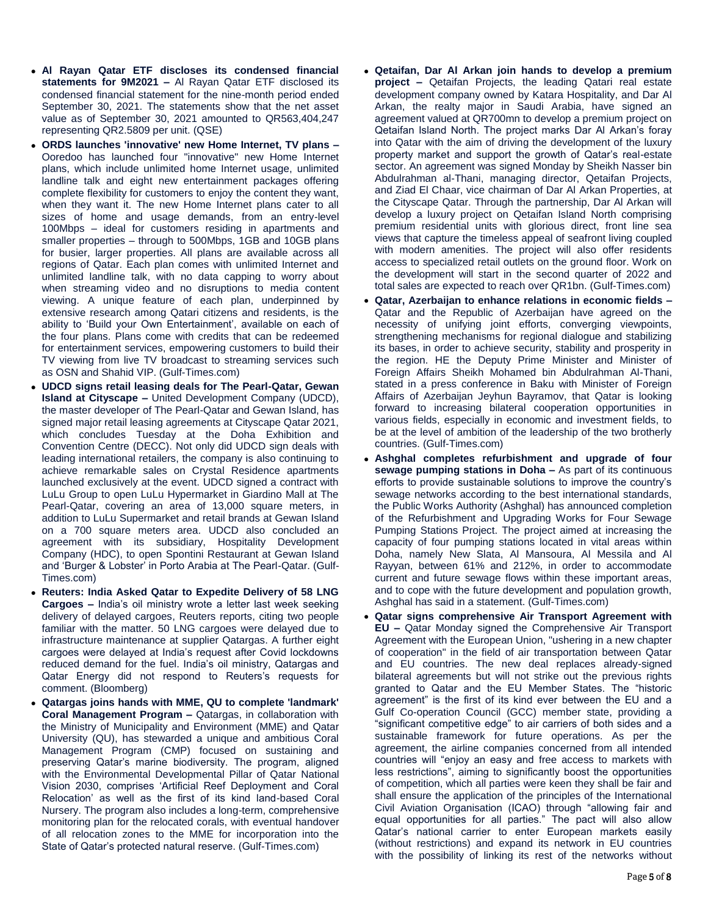- **Al Rayan Qatar ETF discloses its condensed financial statements for 9M2021 –** Al Rayan Qatar ETF disclosed its condensed financial statement for the nine-month period ended September 30, 2021. The statements show that the net asset value as of September 30, 2021 amounted to QR563,404,247 representing QR2.5809 per unit. (QSE)
- **ORDS launches 'innovative' new Home Internet, TV plans –** Ooredoo has launched four "innovative" new Home Internet plans, which include unlimited home Internet usage, unlimited landline talk and eight new entertainment packages offering complete flexibility for customers to enjoy the content they want, when they want it. The new Home Internet plans cater to all sizes of home and usage demands, from an entry-level 100Mbps – ideal for customers residing in apartments and smaller properties – through to 500Mbps, 1GB and 10GB plans for busier, larger properties. All plans are available across all regions of Qatar. Each plan comes with unlimited Internet and unlimited landline talk, with no data capping to worry about when streaming video and no disruptions to media content viewing. A unique feature of each plan, underpinned by extensive research among Qatari citizens and residents, is the ability to 'Build your Own Entertainment', available on each of the four plans. Plans come with credits that can be redeemed for entertainment services, empowering customers to build their TV viewing from live TV broadcast to streaming services such as OSN and Shahid VIP. (Gulf-Times.com)
- **UDCD signs retail leasing deals for The Pearl-Qatar, Gewan Island at Cityscape –** United Development Company (UDCD), the master developer of The Pearl-Qatar and Gewan Island, has signed major retail leasing agreements at Cityscape Qatar 2021, which concludes Tuesday at the Doha Exhibition and Convention Centre (DECC). Not only did UDCD sign deals with leading international retailers, the company is also continuing to achieve remarkable sales on Crystal Residence apartments launched exclusively at the event. UDCD signed a contract with LuLu Group to open LuLu Hypermarket in Giardino Mall at The Pearl-Qatar, covering an area of 13,000 square meters, in addition to LuLu Supermarket and retail brands at Gewan Island on a 700 square meters area. UDCD also concluded an agreement with its subsidiary, Hospitality Development Company (HDC), to open Spontini Restaurant at Gewan Island and 'Burger & Lobster' in Porto Arabia at The Pearl-Qatar. (Gulf-Times.com)
- **Reuters: India Asked Qatar to Expedite Delivery of 58 LNG Cargoes –** India's oil ministry wrote a letter last week seeking delivery of delayed cargoes, Reuters reports, citing two people familiar with the matter. 50 LNG cargoes were delayed due to infrastructure maintenance at supplier Qatargas. A further eight cargoes were delayed at India's request after Covid lockdowns reduced demand for the fuel. India's oil ministry, Qatargas and Qatar Energy did not respond to Reuters's requests for comment. (Bloomberg)
- **Qatargas joins hands with MME, QU to complete 'landmark' Coral Management Program –** Qatargas, in collaboration with the Ministry of Municipality and Environment (MME) and Qatar University (QU), has stewarded a unique and ambitious Coral Management Program (CMP) focused on sustaining and preserving Qatar's marine biodiversity. The program, aligned with the Environmental Developmental Pillar of Qatar National Vision 2030, comprises 'Artificial Reef Deployment and Coral Relocation' as well as the first of its kind land-based Coral Nursery. The program also includes a long-term, comprehensive monitoring plan for the relocated corals, with eventual handover of all relocation zones to the MME for incorporation into the State of Qatar's protected natural reserve. (Gulf-Times.com)
- **Qetaifan, Dar Al Arkan join hands to develop a premium project –** Qetaifan Projects, the leading Qatari real estate development company owned by Katara Hospitality, and Dar Al Arkan, the realty major in Saudi Arabia, have signed an agreement valued at QR700mn to develop a premium project on Qetaifan Island North. The project marks Dar Al Arkan's foray into Qatar with the aim of driving the development of the luxury property market and support the growth of Qatar's real-estate sector. An agreement was signed Monday by Sheikh Nasser bin Abdulrahman al-Thani, managing director, Qetaifan Projects, and Ziad El Chaar, vice chairman of Dar Al Arkan Properties, at the Cityscape Qatar. Through the partnership, Dar Al Arkan will develop a luxury project on Qetaifan Island North comprising premium residential units with glorious direct, front line sea views that capture the timeless appeal of seafront living coupled with modern amenities. The project will also offer residents access to specialized retail outlets on the ground floor. Work on the development will start in the second quarter of 2022 and total sales are expected to reach over QR1bn. (Gulf-Times.com)
- **Qatar, Azerbaijan to enhance relations in economic fields –** Qatar and the Republic of Azerbaijan have agreed on the necessity of unifying joint efforts, converging viewpoints, strengthening mechanisms for regional dialogue and stabilizing its bases, in order to achieve security, stability and prosperity in the region. HE the Deputy Prime Minister and Minister of Foreign Affairs Sheikh Mohamed bin Abdulrahman Al-Thani, stated in a press conference in Baku with Minister of Foreign Affairs of Azerbaijan Jeyhun Bayramov, that Qatar is looking forward to increasing bilateral cooperation opportunities in various fields, especially in economic and investment fields, to be at the level of ambition of the leadership of the two brotherly countries. (Gulf-Times.com)
- **Ashghal completes refurbishment and upgrade of four sewage pumping stations in Doha –** As part of its continuous efforts to provide sustainable solutions to improve the country's sewage networks according to the best international standards, the Public Works Authority (Ashghal) has announced completion of the Refurbishment and Upgrading Works for Four Sewage Pumping Stations Project. The project aimed at increasing the capacity of four pumping stations located in vital areas within Doha, namely New Slata, Al Mansoura, Al Messila and Al Rayyan, between 61% and 212%, in order to accommodate current and future sewage flows within these important areas, and to cope with the future development and population growth, Ashghal has said in a statement. (Gulf-Times.com)
- **Qatar signs comprehensive Air Transport Agreement with EU –** Qatar Monday signed the Comprehensive Air Transport Agreement with the European Union, "ushering in a new chapter of cooperation" in the field of air transportation between Qatar and EU countries. The new deal replaces already-signed bilateral agreements but will not strike out the previous rights granted to Qatar and the EU Member States. The "historic agreement" is the first of its kind ever between the EU and a Gulf Co-operation Council (GCC) member state, providing a "significant competitive edge" to air carriers of both sides and a sustainable framework for future operations. As per the agreement, the airline companies concerned from all intended countries will "enjoy an easy and free access to markets with less restrictions", aiming to significantly boost the opportunities of competition, which all parties were keen they shall be fair and shall ensure the application of the principles of the International Civil Aviation Organisation (ICAO) through "allowing fair and equal opportunities for all parties." The pact will also allow Qatar's national carrier to enter European markets easily (without restrictions) and expand its network in EU countries with the possibility of linking its rest of the networks without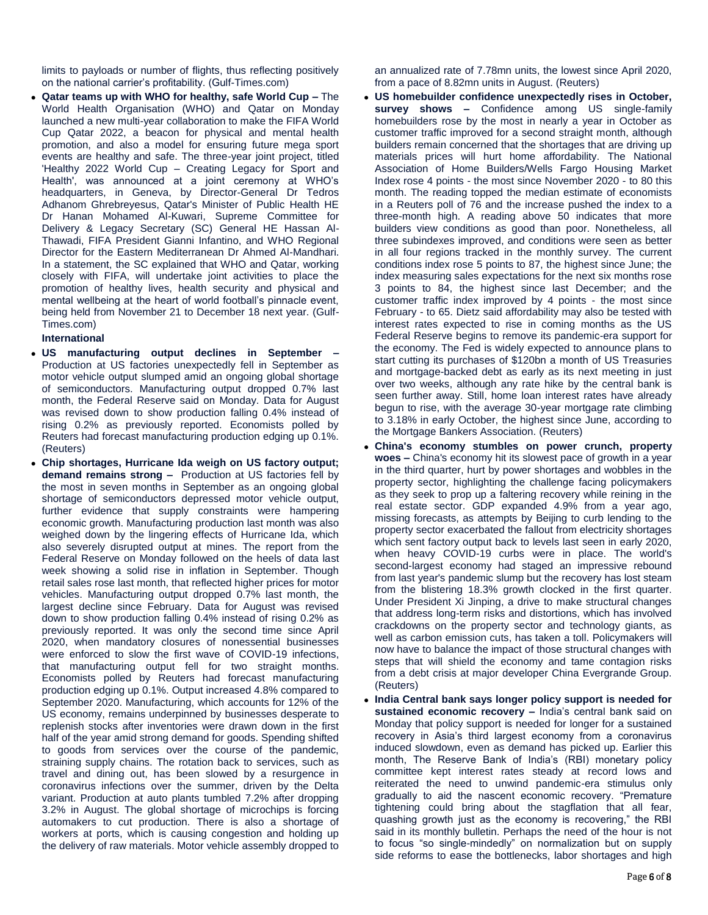limits to payloads or number of flights, thus reflecting positively on the national carrier's profitability. (Gulf-Times.com)

 **Qatar teams up with WHO for healthy, safe World Cup –** The World Health Organisation (WHO) and Qatar on Monday launched a new multi-year collaboration to make the FIFA World Cup Qatar 2022, a beacon for physical and mental health promotion, and also a model for ensuring future mega sport events are healthy and safe. The three-year joint project, titled 'Healthy 2022 World Cup – Creating Legacy for Sport and Health', was announced at a joint ceremony at WHO's headquarters, in Geneva, by Director-General Dr Tedros Adhanom Ghrebreyesus, Qatar's Minister of Public Health HE Dr Hanan Mohamed Al-Kuwari, Supreme Committee for Delivery & Legacy Secretary (SC) General HE Hassan Al-Thawadi, FIFA President Gianni Infantino, and WHO Regional Director for the Eastern Mediterranean Dr Ahmed Al-Mandhari. In a statement, the SC explained that WHO and Qatar, working closely with FIFA, will undertake joint activities to place the promotion of healthy lives, health security and physical and mental wellbeing at the heart of world football's pinnacle event, being held from November 21 to December 18 next year. (Gulf-Times.com)

### **International**

- **US manufacturing output declines in September –** Production at US factories unexpectedly fell in September as motor vehicle output slumped amid an ongoing global shortage of semiconductors. Manufacturing output dropped 0.7% last month, the Federal Reserve said on Monday. Data for August was revised down to show production falling 0.4% instead of rising 0.2% as previously reported. Economists polled by Reuters had forecast manufacturing production edging up 0.1%. (Reuters)
- **Chip shortages, Hurricane Ida weigh on US factory output; demand remains strong –** Production at US factories fell by the most in seven months in September as an ongoing global shortage of semiconductors depressed motor vehicle output, further evidence that supply constraints were hampering economic growth. Manufacturing production last month was also weighed down by the lingering effects of Hurricane Ida, which also severely disrupted output at mines. The report from the Federal Reserve on Monday followed on the heels of data last week showing a solid rise in inflation in September. Though retail sales rose last month, that reflected higher prices for motor vehicles. Manufacturing output dropped 0.7% last month, the largest decline since February. Data for August was revised down to show production falling 0.4% instead of rising 0.2% as previously reported. It was only the second time since April 2020, when mandatory closures of nonessential businesses were enforced to slow the first wave of COVID-19 infections, that manufacturing output fell for two straight months. Economists polled by Reuters had forecast manufacturing production edging up 0.1%. Output increased 4.8% compared to September 2020. Manufacturing, which accounts for 12% of the US economy, remains underpinned by businesses desperate to replenish stocks after inventories were drawn down in the first half of the year amid strong demand for goods. Spending shifted to goods from services over the course of the pandemic, straining supply chains. The rotation back to services, such as travel and dining out, has been slowed by a resurgence in coronavirus infections over the summer, driven by the Delta variant. Production at auto plants tumbled 7.2% after dropping 3.2% in August. The global shortage of microchips is forcing automakers to cut production. There is also a shortage of workers at ports, which is causing congestion and holding up the delivery of raw materials. Motor vehicle assembly dropped to

an annualized rate of 7.78mn units, the lowest since April 2020, from a pace of 8.82mn units in August. (Reuters)

- **US homebuilder confidence unexpectedly rises in October, survey shows –** Confidence among US single-family homebuilders rose by the most in nearly a year in October as customer traffic improved for a second straight month, although builders remain concerned that the shortages that are driving up materials prices will hurt home affordability. The National Association of Home Builders/Wells Fargo Housing Market Index rose 4 points - the most since November 2020 - to 80 this month. The reading topped the median estimate of economists in a Reuters poll of 76 and the increase pushed the index to a three-month high. A reading above 50 indicates that more builders view conditions as good than poor. Nonetheless, all three subindexes improved, and conditions were seen as better in all four regions tracked in the monthly survey. The current conditions index rose 5 points to 87, the highest since June; the index measuring sales expectations for the next six months rose 3 points to 84, the highest since last December; and the customer traffic index improved by 4 points - the most since February - to 65. Dietz said affordability may also be tested with interest rates expected to rise in coming months as the US Federal Reserve begins to remove its pandemic-era support for the economy. The Fed is widely expected to announce plans to start cutting its purchases of \$120bn a month of US Treasuries and mortgage-backed debt as early as its next meeting in just over two weeks, although any rate hike by the central bank is seen further away. Still, home loan interest rates have already begun to rise, with the average 30-year mortgage rate climbing to 3.18% in early October, the highest since June, according to the Mortgage Bankers Association. (Reuters)
- **China's economy stumbles on power crunch, property woes –** China's economy hit its slowest pace of growth in a year in the third quarter, hurt by power shortages and wobbles in the property sector, highlighting the challenge facing policymakers as they seek to prop up a faltering recovery while reining in the real estate sector. GDP expanded 4.9% from a year ago, missing forecasts, as attempts by Beijing to curb lending to the property sector exacerbated the fallout from electricity shortages which sent factory output back to levels last seen in early 2020, when heavy COVID-19 curbs were in place. The world's second-largest economy had staged an impressive rebound from last year's pandemic slump but the recovery has lost steam from the blistering 18.3% growth clocked in the first quarter. Under President Xi Jinping, a drive to make structural changes that address long-term risks and distortions, which has involved crackdowns on the property sector and technology giants, as well as carbon emission cuts, has taken a toll. Policymakers will now have to balance the impact of those structural changes with steps that will shield the economy and tame contagion risks from a debt crisis at major developer China Evergrande Group. (Reuters)
- **India Central bank says longer policy support is needed for sustained economic recovery –** India's central bank said on Monday that policy support is needed for longer for a sustained recovery in Asia's third largest economy from a coronavirus induced slowdown, even as demand has picked up. Earlier this month, The Reserve Bank of India's (RBI) monetary policy committee kept interest rates steady at record lows and reiterated the need to unwind pandemic-era stimulus only gradually to aid the nascent economic recovery. "Premature tightening could bring about the stagflation that all fear, quashing growth just as the economy is recovering," the RBI said in its monthly bulletin. Perhaps the need of the hour is not to focus "so single-mindedly" on normalization but on supply side reforms to ease the bottlenecks, labor shortages and high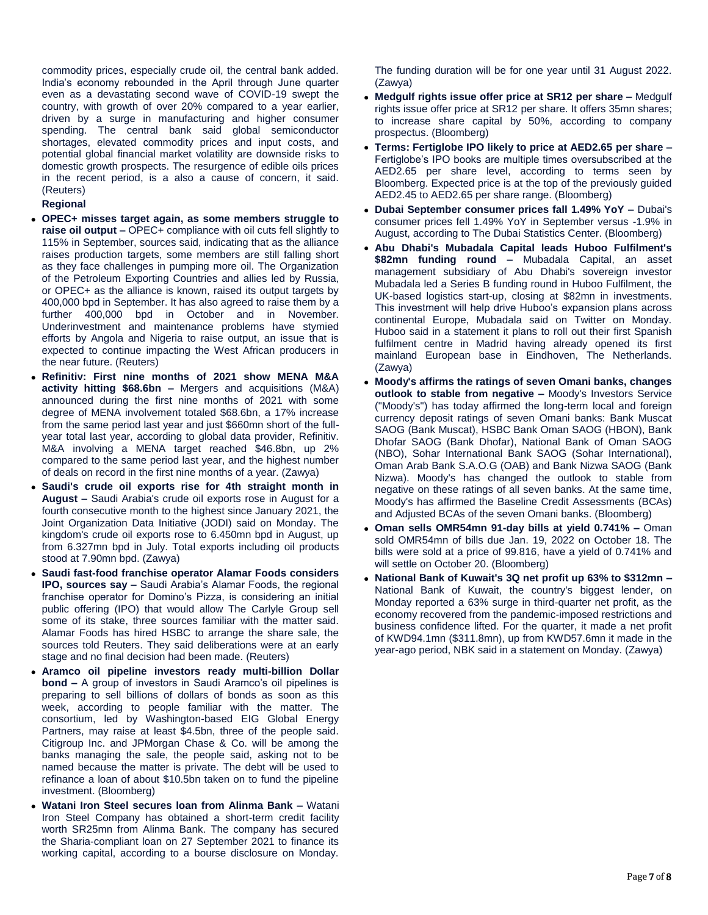commodity prices, especially crude oil, the central bank added. India's economy rebounded in the April through June quarter even as a devastating second wave of COVID-19 swept the country, with growth of over 20% compared to a year earlier, driven by a surge in manufacturing and higher consumer spending. The central bank said global semiconductor shortages, elevated commodity prices and input costs, and potential global financial market volatility are downside risks to domestic growth prospects. The resurgence of edible oils prices in the recent period, is a also a cause of concern, it said. (Reuters)

### **Regional**

- **OPEC+ misses target again, as some members struggle to raise oil output –** OPEC+ compliance with oil cuts fell slightly to 115% in September, sources said, indicating that as the alliance raises production targets, some members are still falling short as they face challenges in pumping more oil. The Organization of the Petroleum Exporting Countries and allies led by Russia, or OPEC+ as the alliance is known, raised its output targets by 400,000 bpd in September. It has also agreed to raise them by a further 400,000 bpd in October and in November. Underinvestment and maintenance problems have stymied efforts by Angola and Nigeria to raise output, an issue that is expected to continue impacting the West African producers in the near future. (Reuters)
- **Refinitiv: First nine months of 2021 show MENA M&A activity hitting \$68.6bn –** Mergers and acquisitions (M&A) announced during the first nine months of 2021 with some degree of MENA involvement totaled \$68.6bn, a 17% increase from the same period last year and just \$660mn short of the fullyear total last year, according to global data provider, Refinitiv. M&A involving a MENA target reached \$46.8bn, up 2% compared to the same period last year, and the highest number of deals on record in the first nine months of a year. (Zawya)
- **Saudi's crude oil exports rise for 4th straight month in August –** Saudi Arabia's crude oil exports rose in August for a fourth consecutive month to the highest since January 2021, the Joint Organization Data Initiative (JODI) said on Monday. The kingdom's crude oil exports rose to 6.450mn bpd in August, up from 6.327mn bpd in July. Total exports including oil products stood at 7.90mn bpd. (Zawya)
- **Saudi fast-food franchise operator Alamar Foods considers IPO, sources say –** Saudi Arabia's Alamar Foods, the regional franchise operator for Domino's Pizza, is considering an initial public offering (IPO) that would allow The Carlyle Group sell some of its stake, three sources familiar with the matter said. Alamar Foods has hired HSBC to arrange the share sale, the sources told Reuters. They said deliberations were at an early stage and no final decision had been made. (Reuters)
- **Aramco oil pipeline investors ready multi-billion Dollar bond –** A group of investors in Saudi Aramco's oil pipelines is preparing to sell billions of dollars of bonds as soon as this week, according to people familiar with the matter. The consortium, led by Washington-based EIG Global Energy Partners, may raise at least \$4.5bn, three of the people said. Citigroup Inc. and JPMorgan Chase & Co. will be among the banks managing the sale, the people said, asking not to be named because the matter is private. The debt will be used to refinance a loan of about \$10.5bn taken on to fund the pipeline investment. (Bloomberg)
- **Watani Iron Steel secures loan from Alinma Bank –** Watani Iron Steel Company has obtained a short-term credit facility worth SR25mn from Alinma Bank. The company has secured the Sharia-compliant loan on 27 September 2021 to finance its working capital, according to a bourse disclosure on Monday.

The funding duration will be for one year until 31 August 2022. (Zawya)

- **Medgulf rights issue offer price at SR12 per share –** Medgulf rights issue offer price at SR12 per share. It offers 35mn shares; to increase share capital by 50%, according to company prospectus. (Bloomberg)
- **Terms: Fertiglobe IPO likely to price at AED2.65 per share –** Fertiglobe's IPO books are multiple times oversubscribed at the AED2.65 per share level, according to terms seen by Bloomberg. Expected price is at the top of the previously guided AED2.45 to AED2.65 per share range. (Bloomberg)
- **Dubai September consumer prices fall 1.49% YoY –** Dubai's consumer prices fell 1.49% YoY in September versus -1.9% in August, according to The Dubai Statistics Center. (Bloomberg)
- **Abu Dhabi's Mubadala Capital leads Huboo Fulfilment's \$82mn funding round –** Mubadala Capital, an asset management subsidiary of Abu Dhabi's sovereign investor Mubadala led a Series B funding round in Huboo Fulfilment, the UK-based logistics start-up, closing at \$82mn in investments. This investment will help drive Huboo's expansion plans across continental Europe, Mubadala said on Twitter on Monday. Huboo said in a statement it plans to roll out their first Spanish fulfilment centre in Madrid having already opened its first mainland European base in Eindhoven, The Netherlands. (Zawya)
- **Moody's affirms the ratings of seven Omani banks, changes outlook to stable from negative –** Moody's Investors Service ("Moody's") has today affirmed the long-term local and foreign currency deposit ratings of seven Omani banks: Bank Muscat SAOG (Bank Muscat), HSBC Bank Oman SAOG (HBON), Bank Dhofar SAOG (Bank Dhofar), National Bank of Oman SAOG (NBO), Sohar International Bank SAOG (Sohar International), Oman Arab Bank S.A.O.G (OAB) and Bank Nizwa SAOG (Bank Nizwa). Moody's has changed the outlook to stable from negative on these ratings of all seven banks. At the same time, Moody's has affirmed the Baseline Credit Assessments (BCAs) and Adjusted BCAs of the seven Omani banks. (Bloomberg)
- **Oman sells OMR54mn 91-day bills at yield 0.741% –** Oman sold OMR54mn of bills due Jan. 19, 2022 on October 18. The bills were sold at a price of 99.816, have a yield of 0.741% and will settle on October 20. (Bloomberg)
- **National Bank of Kuwait's 3Q net profit up 63% to \$312mn –** National Bank of Kuwait, the country's biggest lender, on Monday reported a 63% surge in third-quarter net profit, as the economy recovered from the pandemic-imposed restrictions and business confidence lifted. For the quarter, it made a net profit of KWD94.1mn (\$311.8mn), up from KWD57.6mn it made in the year-ago period, NBK said in a statement on Monday. (Zawya)